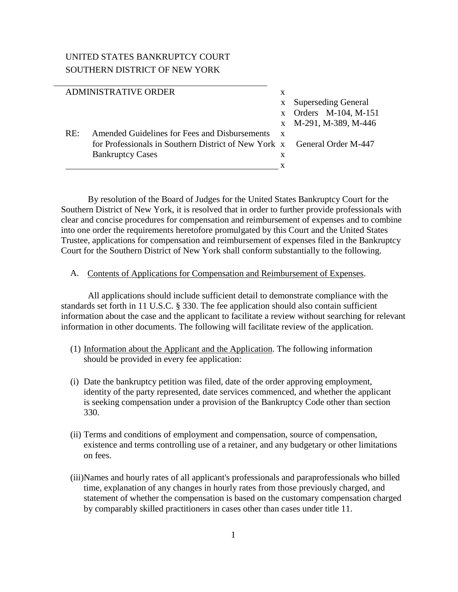# UNITED STATES BANKRUPTCY COURT SOUTHERN DISTRICT OF NEW YORK

| <b>ADMINISTRATIVE ORDER</b> |                                                                          | X            |                       |
|-----------------------------|--------------------------------------------------------------------------|--------------|-----------------------|
|                             |                                                                          |              | x Superseding General |
|                             |                                                                          |              | x Orders M-104, M-151 |
|                             |                                                                          |              | x M-291, M-389, M-446 |
| RE:                         | Amended Guidelines for Fees and Disbursements                            | $\mathbf{x}$ |                       |
|                             | for Professionals in Southern District of New York x General Order M-447 |              |                       |
|                             | <b>Bankruptcy Cases</b>                                                  | X            |                       |
|                             |                                                                          | х            |                       |

By resolution of the Board of Judges for the United States Bankruptcy Court for the Southern District of New York, it is resolved that in order to further provide professionals with clear and concise procedures for compensation and reimbursement of expenses and to combine into one order the requirements heretofore promulgated by this Court and the United States Trustee, applications for compensation and reimbursement of expenses filed in the Bankruptcy Court for the Southern District of New York shall conform substantially to the following.

## A. Contents of Applications for Compensation and Reimbursement of Expenses.

All applications should include sufficient detail to demonstrate compliance with the standards set forth in 11 U.S.C. § 330. The fee application should also contain sufficient information about the case and the applicant to facilitate a review without searching for relevant information in other documents. The following will facilitate review of the application.

- (1) Information about the Applicant and the Application. The following information should be provided in every fee application:
- (i) Date the bankruptcy petition was filed, date of the order approving employment, identity of the party represented, date services commenced, and whether the applicant is seeking compensation under a provision of the Bankruptcy Code other than section 330.
- (ii) Terms and conditions of employment and compensation, source of compensation, existence and terms controlling use of a retainer, and any budgetary or other limitations on fees.
- (iii)Names and hourly rates of all applicant's professionals and paraprofessionals who billed time, explanation of any changes in hourly rates from those previously charged, and statement of whether the compensation is based on the customary compensation charged by comparably skilled practitioners in cases other than cases under title 11.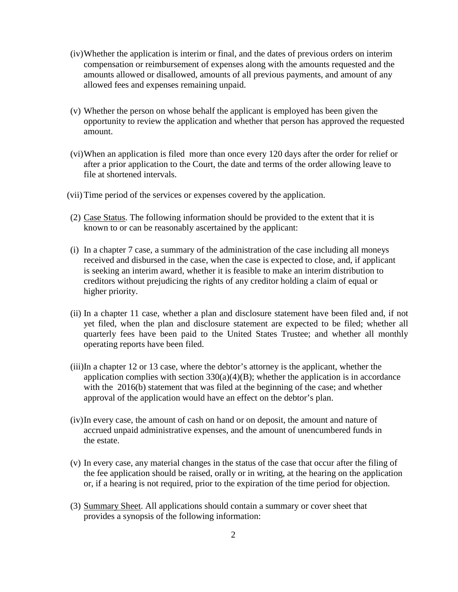- (iv)Whether the application is interim or final, and the dates of previous orders on interim compensation or reimbursement of expenses along with the amounts requested and the amounts allowed or disallowed, amounts of all previous payments, and amount of any allowed fees and expenses remaining unpaid.
- (v) Whether the person on whose behalf the applicant is employed has been given the opportunity to review the application and whether that person has approved the requested amount.
- (vi)When an application is filed more than once every 120 days after the order for relief or after a prior application to the Court, the date and terms of the order allowing leave to file at shortened intervals.
- (vii)Time period of the services or expenses covered by the application.
- (2) Case Status. The following information should be provided to the extent that it is known to or can be reasonably ascertained by the applicant:
- (i) In a chapter 7 case, a summary of the administration of the case including all moneys received and disbursed in the case, when the case is expected to close, and, if applicant is seeking an interim award, whether it is feasible to make an interim distribution to creditors without prejudicing the rights of any creditor holding a claim of equal or higher priority.
- (ii) In a chapter 11 case, whether a plan and disclosure statement have been filed and, if not yet filed, when the plan and disclosure statement are expected to be filed; whether all quarterly fees have been paid to the United States Trustee; and whether all monthly operating reports have been filed.
- (iii)In a chapter 12 or 13 case, where the debtor's attorney is the applicant, whether the application complies with section  $330(a)(4)(B)$ ; whether the application is in accordance with the 2016(b) statement that was filed at the beginning of the case; and whether approval of the application would have an effect on the debtor's plan.
- (iv)In every case, the amount of cash on hand or on deposit, the amount and nature of accrued unpaid administrative expenses, and the amount of unencumbered funds in the estate.
- (v) In every case, any material changes in the status of the case that occur after the filing of the fee application should be raised, orally or in writing, at the hearing on the application or, if a hearing is not required, prior to the expiration of the time period for objection.
- (3) Summary Sheet. All applications should contain a summary or cover sheet that provides a synopsis of the following information: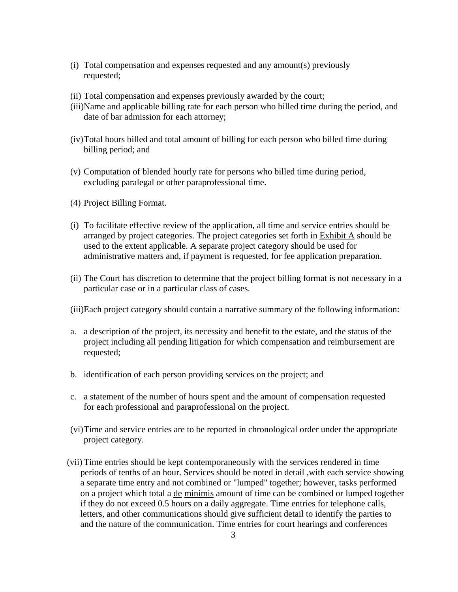- (i) Total compensation and expenses requested and any amount(s) previously requested;
- (ii) Total compensation and expenses previously awarded by the court;
- (iii)Name and applicable billing rate for each person who billed time during the period, and date of bar admission for each attorney;
- (iv)Total hours billed and total amount of billing for each person who billed time during billing period; and
- (v) Computation of blended hourly rate for persons who billed time during period, excluding paralegal or other paraprofessional time.
- (4) Project Billing Format.
- (i) To facilitate effective review of the application, all time and service entries should be arranged by project categories. The project categories set forth in Exhibit A should be used to the extent applicable. A separate project category should be used for administrative matters and, if payment is requested, for fee application preparation.
- (ii) The Court has discretion to determine that the project billing format is not necessary in a particular case or in a particular class of cases.

(iii)Each project category should contain a narrative summary of the following information:

- a. a description of the project, its necessity and benefit to the estate, and the status of the project including all pending litigation for which compensation and reimbursement are requested;
- b. identification of each person providing services on the project; and
- c. a statement of the number of hours spent and the amount of compensation requested for each professional and paraprofessional on the project.
- (vi)Time and service entries are to be reported in chronological order under the appropriate project category.
- (vii)Time entries should be kept contemporaneously with the services rendered in time periods of tenths of an hour. Services should be noted in detail ,with each service showing a separate time entry and not combined or "lumped" together; however, tasks performed on a project which total a de minimis amount of time can be combined or lumped together if they do not exceed 0.5 hours on a daily aggregate. Time entries for telephone calls, letters, and other communications should give sufficient detail to identify the parties to and the nature of the communication. Time entries for court hearings and conferences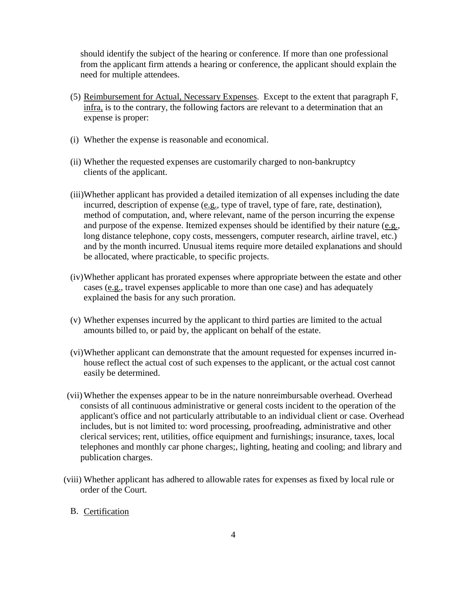should identify the subject of the hearing or conference. If more than one professional from the applicant firm attends a hearing or conference, the applicant should explain the need for multiple attendees.

- (5) Reimbursement for Actual, Necessary Expenses. Except to the extent that paragraph F, infra, is to the contrary, the following factors are relevant to a determination that an expense is proper:
- (i) Whether the expense is reasonable and economical.
- (ii) Whether the requested expenses are customarily charged to non-bankruptcy clients of the applicant.
- (iii)Whether applicant has provided a detailed itemization of all expenses including the date incurred, description of expense (e.g., type of travel, type of fare, rate, destination), method of computation, and, where relevant, name of the person incurring the expense and purpose of the expense. Itemized expenses should be identified by their nature  $(e.g.,)$ long distance telephone, copy costs, messengers, computer research, airline travel, etc.) and by the month incurred. Unusual items require more detailed explanations and should be allocated, where practicable, to specific projects.
- (iv)Whether applicant has prorated expenses where appropriate between the estate and other cases (e.g., travel expenses applicable to more than one case) and has adequately explained the basis for any such proration.
- (v) Whether expenses incurred by the applicant to third parties are limited to the actual amounts billed to, or paid by, the applicant on behalf of the estate.
- (vi)Whether applicant can demonstrate that the amount requested for expenses incurred inhouse reflect the actual cost of such expenses to the applicant, or the actual cost cannot easily be determined.
- (vii)Whether the expenses appear to be in the nature nonreimbursable overhead. Overhead consists of all continuous administrative or general costs incident to the operation of the applicant's office and not particularly attributable to an individual client or case. Overhead includes, but is not limited to: word processing, proofreading, administrative and other clerical services; rent, utilities, office equipment and furnishings; insurance, taxes, local telephones and monthly car phone charges;, lighting, heating and cooling; and library and publication charges.
- (viii) Whether applicant has adhered to allowable rates for expenses as fixed by local rule or order of the Court.
	- B. Certification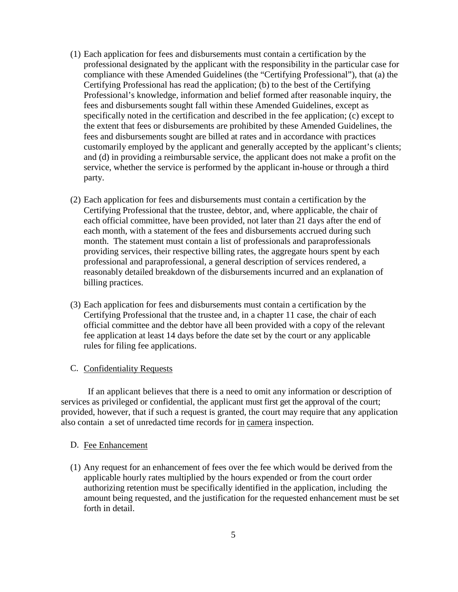- (1) Each application for fees and disbursements must contain a certification by the professional designated by the applicant with the responsibility in the particular case for compliance with these Amended Guidelines (the "Certifying Professional"), that (a) the Certifying Professional has read the application; (b) to the best of the Certifying Professional's knowledge, information and belief formed after reasonable inquiry, the fees and disbursements sought fall within these Amended Guidelines, except as specifically noted in the certification and described in the fee application; (c) except to the extent that fees or disbursements are prohibited by these Amended Guidelines, the fees and disbursements sought are billed at rates and in accordance with practices customarily employed by the applicant and generally accepted by the applicant's clients; and (d) in providing a reimbursable service, the applicant does not make a profit on the service, whether the service is performed by the applicant in-house or through a third party.
- (2) Each application for fees and disbursements must contain a certification by the Certifying Professional that the trustee, debtor, and, where applicable, the chair of each official committee, have been provided, not later than 21 days after the end of each month, with a statement of the fees and disbursements accrued during such month. The statement must contain a list of professionals and paraprofessionals providing services, their respective billing rates, the aggregate hours spent by each professional and paraprofessional, a general description of services rendered, a reasonably detailed breakdown of the disbursements incurred and an explanation of billing practices.
- (3) Each application for fees and disbursements must contain a certification by the Certifying Professional that the trustee and, in a chapter 11 case, the chair of each official committee and the debtor have all been provided with a copy of the relevant fee application at least 14 days before the date set by the court or any applicable rules for filing fee applications.

#### C. Confidentiality Requests

If an applicant believes that there is a need to omit any information or description of services as privileged or confidential, the applicant must first get the approval of the court; provided, however, that if such a request is granted, the court may require that any application also contain a set of unredacted time records for in camera inspection.

#### D. Fee Enhancement

(1) Any request for an enhancement of fees over the fee which would be derived from the applicable hourly rates multiplied by the hours expended or from the court order authorizing retention must be specifically identified in the application, including the amount being requested, and the justification for the requested enhancement must be set forth in detail.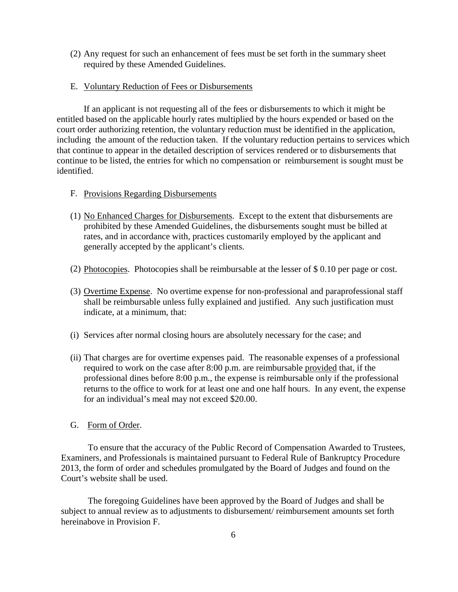- (2) Any request for such an enhancement of fees must be set forth in the summary sheet required by these Amended Guidelines.
- E. Voluntary Reduction of Fees or Disbursements

If an applicant is not requesting all of the fees or disbursements to which it might be entitled based on the applicable hourly rates multiplied by the hours expended or based on the court order authorizing retention, the voluntary reduction must be identified in the application, including the amount of the reduction taken. If the voluntary reduction pertains to services which that continue to appear in the detailed description of services rendered or to disbursements that continue to be listed, the entries for which no compensation or reimbursement is sought must be identified.

- F. Provisions Regarding Disbursements
- (1) No Enhanced Charges for Disbursements. Except to the extent that disbursements are prohibited by these Amended Guidelines, the disbursements sought must be billed at rates, and in accordance with, practices customarily employed by the applicant and generally accepted by the applicant's clients.
- (2) Photocopies. Photocopies shall be reimbursable at the lesser of \$ 0.10 per page or cost.
- (3) Overtime Expense. No overtime expense for non-professional and paraprofessional staff shall be reimbursable unless fully explained and justified. Any such justification must indicate, at a minimum, that:
- (i) Services after normal closing hours are absolutely necessary for the case; and
- (ii) That charges are for overtime expenses paid. The reasonable expenses of a professional required to work on the case after 8:00 p.m. are reimbursable provided that, if the professional dines before 8:00 p.m., the expense is reimbursable only if the professional returns to the office to work for at least one and one half hours. In any event, the expense for an individual's meal may not exceed \$20.00.
- G. Form of Order.

To ensure that the accuracy of the Public Record of Compensation Awarded to Trustees, Examiners, and Professionals is maintained pursuant to Federal Rule of Bankruptcy Procedure 2013, the form of order and schedules promulgated by the Board of Judges and found on the Court's website shall be used.

The foregoing Guidelines have been approved by the Board of Judges and shall be subject to annual review as to adjustments to disbursement/ reimbursement amounts set forth hereinabove in Provision F.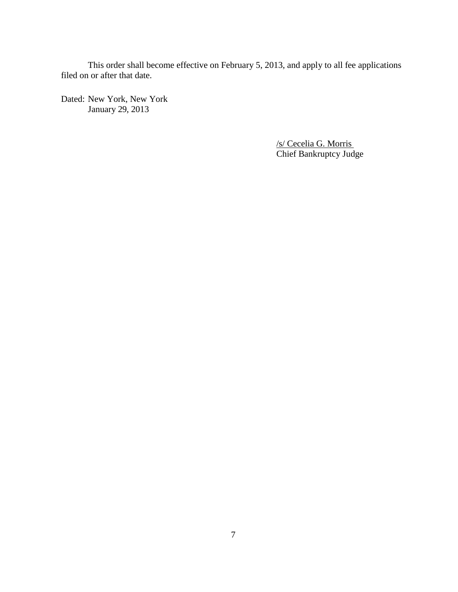This order shall become effective on February 5, 2013, and apply to all fee applications filed on or after that date.

Dated: New York, New York January 29, 2013

> /s/ Cecelia G. Morris Chief Bankruptcy Judge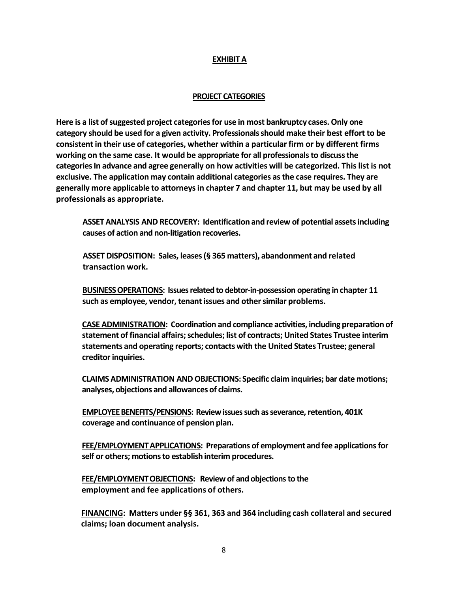## **EXHIBIT A**

### **PROJECT CATEGORIES**

**Here is a list ofsuggested project categoriesfor use in most bankruptcy cases. Only one category should be used for a given activity. Professionalsshould make their best effort to be consistentin their use of categories, whether within a particular firm or by different firms working on the same case. It would be appropriate for all professionalsto discussthe categoriesIn advance and agree generally on how activities will be categorized. Thislist is not exclusive. The application may contain additional categories asthe case requires. They are generally more applicable to attorneysin chapter 7 and chapter 11, but may be used by all professionals as appropriate.**

**ASSET ANALYSIS AND RECOVERY: Identification and review of potential assetsincluding causes of action and non‐litigation recoveries.**

**ASSET DISPOSITION: Sales, leases(§ 365 matters), abandonment and related transaction work.**

**BUSINESSOPERATIONS: Issuesrelatedto debtor‐in‐possession operating in chapter 11 such as employee, vendor,tenantissues and othersimilar problems.**

**CASE ADMINISTRATION: Coordination and compliance activities, including preparation of statement of financial affairs;schedules; list of contracts; United States Trustee interim statements and operating reports; contacts with the United States Trustee; general** creditor inquiries.

**CLAIMSADMINISTRATION AND OBJECTIONS: Specific claim inquiries; bar date motions; analyses, objections and allowances of claims.**

**EMPLOYEEBENEFITS/PENSIONS: Reviewissuessuch asseverance,retention, 401K coverage and continuance of pension plan.**

**FEE/EMPLOYMENTAPPLICATIONS: Preparations of employment and fee applicationsfor self or others; motionsto establishinterim procedures.**

**FEE/EMPLOYMENTOBJECTIONS: Reviewof and objectionsto the employment and fee applications of others.**

**FINANCING: Matters under §§ 361, 363 and 364 including cash collateral and secured claims; loan document analysis.**